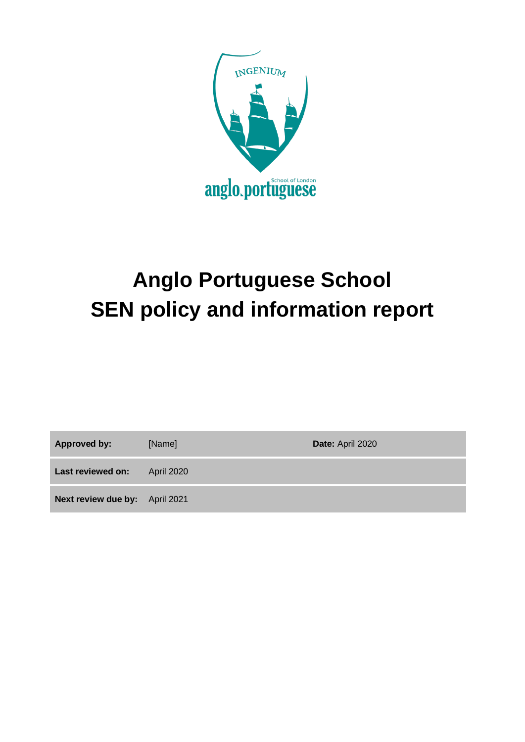

# **Anglo Portuguese School SEN policy and information report**

**Approved by:** [Name] **Date:** April 2020

Last reviewed on: April 2020

**Next review due by:** April 2021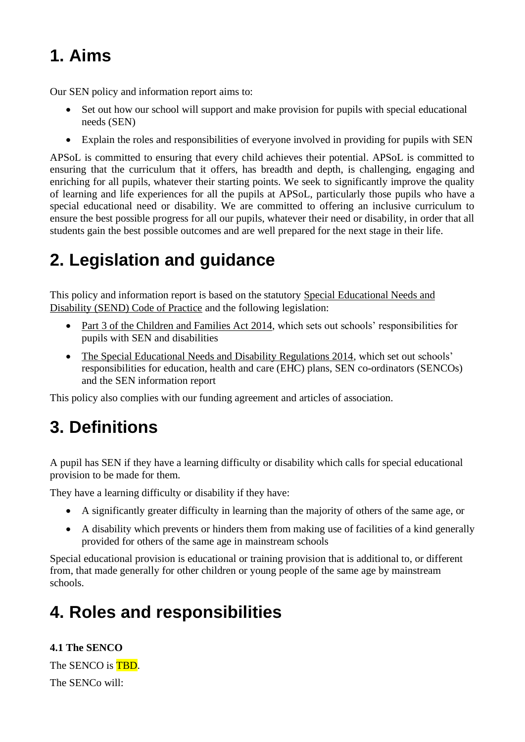# **1. Aims**

Our SEN policy and information report aims to:

- Set out how our school will support and make provision for pupils with special educational needs (SEN)
- Explain the roles and responsibilities of everyone involved in providing for pupils with SEN

APSoL is committed to ensuring that every child achieves their potential. APSoL is committed to ensuring that the curriculum that it offers, has breadth and depth, is challenging, engaging and enriching for all pupils, whatever their starting points. We seek to significantly improve the quality of learning and life experiences for all the pupils at APSoL, particularly those pupils who have a special educational need or disability. We are committed to offering an inclusive curriculum to ensure the best possible progress for all our pupils, whatever their need or disability, in order that all students gain the best possible outcomes and are well prepared for the next stage in their life.

# **2. Legislation and guidance**

This policy and information report is based on the statutory [Special Educational Needs and](https://www.gov.uk/government/uploads/system/uploads/attachment_data/file/398815/SEND_Code_of_Practice_January_2015.pdf)  [Disability \(SEND\) Code of Practice](https://www.gov.uk/government/uploads/system/uploads/attachment_data/file/398815/SEND_Code_of_Practice_January_2015.pdf) and the following legislation:

- [Part 3 of the Children and Families Act 2014,](http://www.legislation.gov.uk/ukpga/2014/6/part/3) which sets out schools' responsibilities for pupils with SEN and disabilities
- [The Special Educational Needs and Disability Regulations 2014,](http://www.legislation.gov.uk/uksi/2014/1530/contents/made) which set out schools' responsibilities for education, health and care (EHC) plans, SEN co-ordinators (SENCOs) and the SEN information report

This policy also complies with our funding agreement and articles of association.

# **3. Definitions**

A pupil has SEN if they have a learning difficulty or disability which calls for special educational provision to be made for them.

They have a learning difficulty or disability if they have:

- A significantly greater difficulty in learning than the majority of others of the same age, or
- A disability which prevents or hinders them from making use of facilities of a kind generally provided for others of the same age in mainstream schools

Special educational provision is educational or training provision that is additional to, or different from, that made generally for other children or young people of the same age by mainstream schools.

# **4. Roles and responsibilities**

**4.1 The SENCO** The SENCO is **TBD**. The SENCo will: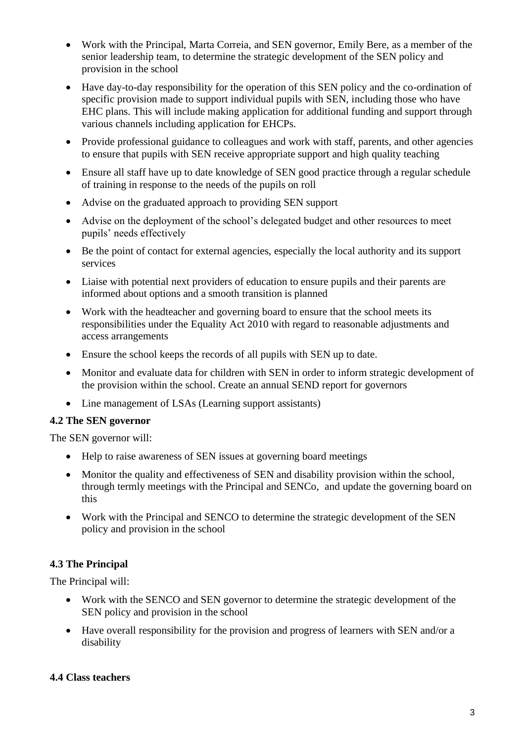- Work with the Principal, Marta Correia, and SEN governor, Emily Bere, as a member of the senior leadership team, to determine the strategic development of the SEN policy and provision in the school
- Have day-to-day responsibility for the operation of this SEN policy and the co-ordination of specific provision made to support individual pupils with SEN, including those who have EHC plans. This will include making application for additional funding and support through various channels including application for EHCPs.
- Provide professional guidance to colleagues and work with staff, parents, and other agencies to ensure that pupils with SEN receive appropriate support and high quality teaching
- Ensure all staff have up to date knowledge of SEN good practice through a regular schedule of training in response to the needs of the pupils on roll
- Advise on the graduated approach to providing SEN support
- Advise on the deployment of the school's delegated budget and other resources to meet pupils' needs effectively
- Be the point of contact for external agencies, especially the local authority and its support services
- Liaise with potential next providers of education to ensure pupils and their parents are informed about options and a smooth transition is planned
- Work with the headteacher and governing board to ensure that the school meets its responsibilities under the Equality Act 2010 with regard to reasonable adjustments and access arrangements
- Ensure the school keeps the records of all pupils with SEN up to date.
- Monitor and evaluate data for children with SEN in order to inform strategic development of the provision within the school. Create an annual SEND report for governors
- Line management of LSAs (Learning support assistants)

### **4.2 The SEN governor**

The SEN governor will:

- Help to raise awareness of SEN issues at governing board meetings
- Monitor the quality and effectiveness of SEN and disability provision within the school, through termly meetings with the Principal and SENCo, and update the governing board on this
- Work with the Principal and SENCO to determine the strategic development of the SEN policy and provision in the school

### **4.3 The Principal**

The Principal will:

- Work with the SENCO and SEN governor to determine the strategic development of the SEN policy and provision in the school
- Have overall responsibility for the provision and progress of learners with SEN and/or a disability

#### **4.4 Class teachers**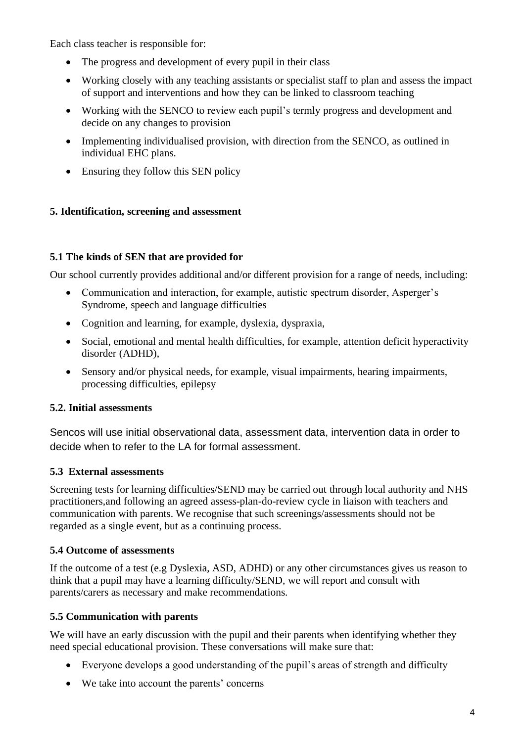Each class teacher is responsible for:

- The progress and development of every pupil in their class
- Working closely with any teaching assistants or specialist staff to plan and assess the impact of support and interventions and how they can be linked to classroom teaching
- Working with the SENCO to review each pupil's termly progress and development and decide on any changes to provision
- Implementing individualised provision, with direction from the SENCO, as outlined in individual EHC plans.
- Ensuring they follow this SEN policy

# **5. Identification, screening and assessment**

# **5.1 The kinds of SEN that are provided for**

Our school currently provides additional and/or different provision for a range of needs, including:

- Communication and interaction, for example, autistic spectrum disorder, Asperger's Syndrome, speech and language difficulties
- Cognition and learning, for example, dyslexia, dyspraxia,
- Social, emotional and mental health difficulties, for example, attention deficit hyperactivity disorder (ADHD),
- Sensory and/or physical needs, for example, visual impairments, hearing impairments, processing difficulties, epilepsy

# **5.2. Initial assessments**

Sencos will use initial observational data, assessment data, intervention data in order to decide when to refer to the LA for formal assessment.

# **5.3 External assessments**

Screening tests for learning difficulties/SEND may be carried out through local authority and NHS practitioners,and following an agreed assess-plan-do-review cycle in liaison with teachers and communication with parents. We recognise that such screenings/assessments should not be regarded as a single event, but as a continuing process.

# **5.4 Outcome of assessments**

If the outcome of a test (e.g Dyslexia, ASD, ADHD) or any other circumstances gives us reason to think that a pupil may have a learning difficulty/SEND, we will report and consult with parents/carers as necessary and make recommendations.

# **5.5 Communication with parents**

We will have an early discussion with the pupil and their parents when identifying whether they need special educational provision. These conversations will make sure that:

- Everyone develops a good understanding of the pupil's areas of strength and difficulty
- We take into account the parents' concerns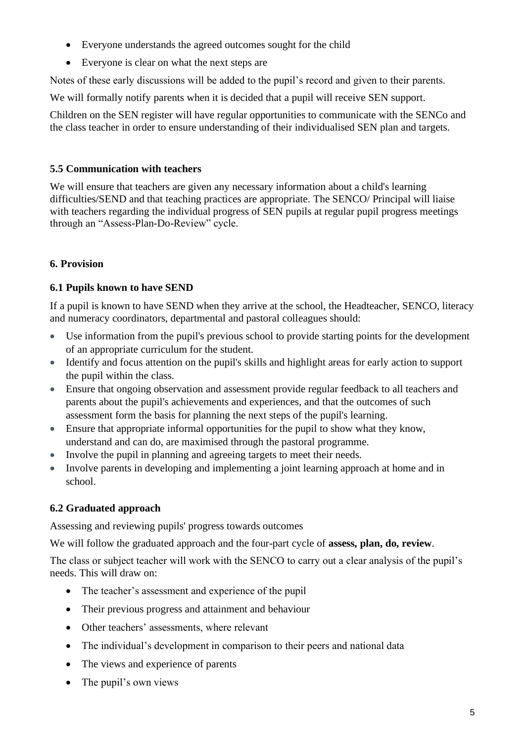- Everyone understands the agreed outcomes sought for the child
- Everyone is clear on what the next steps are

Notes of these early discussions will be added to the pupil's record and given to their parents.

We will formally notify parents when it is decided that a pupil will receive SEN support.

Children on the SEN register will have regular opportunities to communicate with the SENCo and the class teacher in order to ensure understanding of their individualised SEN plan and targets.

# **5.5 Communication with teachers**

We will ensure that teachers are given any necessary information about a child's learning difficulties/SEND and that teaching practices are appropriate. The SENCO/ Principal will liaise with teachers regarding the individual progress of SEN pupils at regular pupil progress meetings through an "Assess-Plan-Do-Review" cycle.

# **6. Provision**

# **6.1 Pupils known to have SEND**

If a pupil is known to have SEND when they arrive at the school, the Headteacher, SENCO, literacy and numeracy coordinators, departmental and pastoral colleagues should:

- Use information from the pupil's previous school to provide starting points for the development of an appropriate curriculum for the student.
- Identify and focus attention on the pupil's skills and highlight areas for early action to support the pupil within the class.
- Ensure that ongoing observation and assessment provide regular feedback to all teachers and parents about the pupil's achievements and experiences, and that the outcomes of such assessment form the basis for planning the next steps of the pupil's learning.
- Ensure that appropriate informal opportunities for the pupil to show what they know, understand and can do, are maximised through the pastoral programme.
- Involve the pupil in planning and agreeing targets to meet their needs.
- Involve parents in developing and implementing a joint learning approach at home and in school.

# **6.2 Graduated approach**

Assessing and reviewing pupils' progress towards outcomes

We will follow the graduated approach and the four-part cycle of **assess, plan, do, review**.

The class or subject teacher will work with the SENCO to carry out a clear analysis of the pupil's needs. This will draw on:

- The teacher's assessment and experience of the pupil
- Their previous progress and attainment and behaviour
- Other teachers' assessments, where relevant
- The individual's development in comparison to their peers and national data
- The views and experience of parents
- The pupil's own views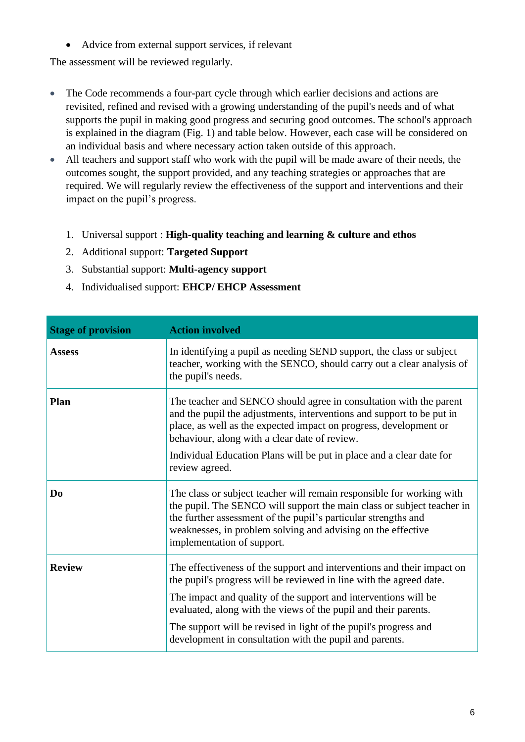• Advice from external support services, if relevant

The assessment will be reviewed regularly.

- The Code recommends a four-part cycle through which earlier decisions and actions are revisited, refined and revised with a growing understanding of the pupil's needs and of what supports the pupil in making good progress and securing good outcomes. The school's approach is explained in the diagram (Fig. 1) and table below. However, each case will be considered on an individual basis and where necessary action taken outside of this approach.
- All teachers and support staff who work with the pupil will be made aware of their needs, the outcomes sought, the support provided, and any teaching strategies or approaches that are required. We will regularly review the effectiveness of the support and interventions and their impact on the pupil's progress.
	- 1. Universal support : **High-quality teaching and learning & culture and ethos**
	- 2. Additional support: **Targeted Support**
	- 3. Substantial support: **Multi-agency support**
	- 4. Individualised support: **EHCP/ EHCP Assessment**

| <b>Stage of provision</b> | <b>Action involved</b>                                                                                                                                                                                                                                                                                                                                                                                             |
|---------------------------|--------------------------------------------------------------------------------------------------------------------------------------------------------------------------------------------------------------------------------------------------------------------------------------------------------------------------------------------------------------------------------------------------------------------|
| <b>Assess</b>             | In identifying a pupil as needing SEND support, the class or subject<br>teacher, working with the SENCO, should carry out a clear analysis of<br>the pupil's needs.                                                                                                                                                                                                                                                |
| Plan                      | The teacher and SENCO should agree in consultation with the parent<br>and the pupil the adjustments, interventions and support to be put in<br>place, as well as the expected impact on progress, development or<br>behaviour, along with a clear date of review.<br>Individual Education Plans will be put in place and a clear date for<br>review agreed.                                                        |
| D <sub>0</sub>            | The class or subject teacher will remain responsible for working with<br>the pupil. The SENCO will support the main class or subject teacher in<br>the further assessment of the pupil's particular strengths and<br>weaknesses, in problem solving and advising on the effective<br>implementation of support.                                                                                                    |
| <b>Review</b>             | The effectiveness of the support and interventions and their impact on<br>the pupil's progress will be reviewed in line with the agreed date.<br>The impact and quality of the support and interventions will be<br>evaluated, along with the views of the pupil and their parents.<br>The support will be revised in light of the pupil's progress and<br>development in consultation with the pupil and parents. |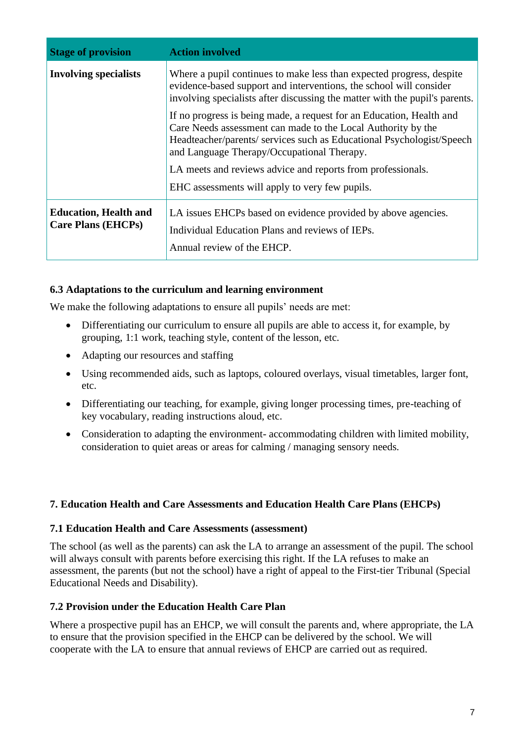| <b>Stage of provision</b>                                 | <b>Action involved</b>                                                                                                                                                                                                                                      |
|-----------------------------------------------------------|-------------------------------------------------------------------------------------------------------------------------------------------------------------------------------------------------------------------------------------------------------------|
| <b>Involving specialists</b>                              | Where a pupil continues to make less than expected progress, despite<br>evidence-based support and interventions, the school will consider<br>involving specialists after discussing the matter with the pupil's parents.                                   |
|                                                           | If no progress is being made, a request for an Education, Health and<br>Care Needs assessment can made to the Local Authority by the<br>Headteacher/parents/ services such as Educational Psychologist/Speech<br>and Language Therapy/Occupational Therapy. |
|                                                           | LA meets and reviews advice and reports from professionals.                                                                                                                                                                                                 |
|                                                           | EHC assessments will apply to very few pupils.                                                                                                                                                                                                              |
| <b>Education, Health and</b><br><b>Care Plans (EHCPs)</b> | LA issues EHCPs based on evidence provided by above agencies.<br>Individual Education Plans and reviews of IEPs.<br>Annual review of the EHCP.                                                                                                              |

# **6.3 Adaptations to the curriculum and learning environment**

We make the following adaptations to ensure all pupils' needs are met:

- Differentiating our curriculum to ensure all pupils are able to access it, for example, by grouping, 1:1 work, teaching style, content of the lesson, etc.
- Adapting our resources and staffing
- Using recommended aids, such as laptops, coloured overlays, visual timetables, larger font, etc.
- Differentiating our teaching, for example, giving longer processing times, pre-teaching of key vocabulary, reading instructions aloud, etc.
- Consideration to adapting the environment- accommodating children with limited mobility, consideration to quiet areas or areas for calming / managing sensory needs.

### **7. Education Health and Care Assessments and Education Health Care Plans (EHCPs)**

#### **7.1 Education Health and Care Assessments (assessment)**

The school (as well as the parents) can ask the LA to arrange an assessment of the pupil. The school will always consult with parents before exercising this right. If the LA refuses to make an assessment, the parents (but not the school) have a right of appeal to the First-tier Tribunal (Special Educational Needs and Disability).

#### **7.2 Provision under the Education Health Care Plan**

Where a prospective pupil has an EHCP, we will consult the parents and, where appropriate, the LA to ensure that the provision specified in the EHCP can be delivered by the school. We will cooperate with the LA to ensure that annual reviews of EHCP are carried out as required.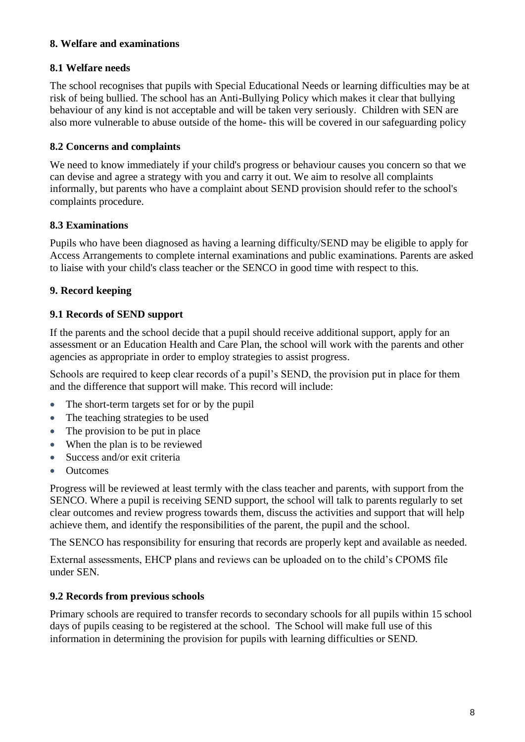### **8. Welfare and examinations**

# **8.1 Welfare needs**

The school recognises that pupils with Special Educational Needs or learning difficulties may be at risk of being bullied. The school has an Anti-Bullying Policy which makes it clear that bullying behaviour of any kind is not acceptable and will be taken very seriously. Children with SEN are also more vulnerable to abuse outside of the home- this will be covered in our safeguarding policy

# **8.2 Concerns and complaints**

We need to know immediately if your child's progress or behaviour causes you concern so that we can devise and agree a strategy with you and carry it out. We aim to resolve all complaints informally, but parents who have a complaint about SEND provision should refer to the school's complaints procedure.

# **8.3 Examinations**

Pupils who have been diagnosed as having a learning difficulty/SEND may be eligible to apply for Access Arrangements to complete internal examinations and public examinations. Parents are asked to liaise with your child's class teacher or the SENCO in good time with respect to this.

# **9. Record keeping**

# **9.1 Records of SEND support**

If the parents and the school decide that a pupil should receive additional support, apply for an assessment or an Education Health and Care Plan, the school will work with the parents and other agencies as appropriate in order to employ strategies to assist progress.

Schools are required to keep clear records of a pupil's SEND, the provision put in place for them and the difference that support will make. This record will include:

- The short-term targets set for or by the pupil
- The teaching strategies to be used
- The provision to be put in place
- When the plan is to be reviewed
- Success and/or exit criteria
- Outcomes

Progress will be reviewed at least termly with the class teacher and parents, with support from the SENCO. Where a pupil is receiving SEND support, the school will talk to parents regularly to set clear outcomes and review progress towards them, discuss the activities and support that will help achieve them, and identify the responsibilities of the parent, the pupil and the school.

The SENCO has responsibility for ensuring that records are properly kept and available as needed.

External assessments, EHCP plans and reviews can be uploaded on to the child's CPOMS file under SEN.

# **9.2 Records from previous schools**

Primary schools are required to transfer records to secondary schools for all pupils within 15 school days of pupils ceasing to be registered at the school. The School will make full use of this information in determining the provision for pupils with learning difficulties or SEND.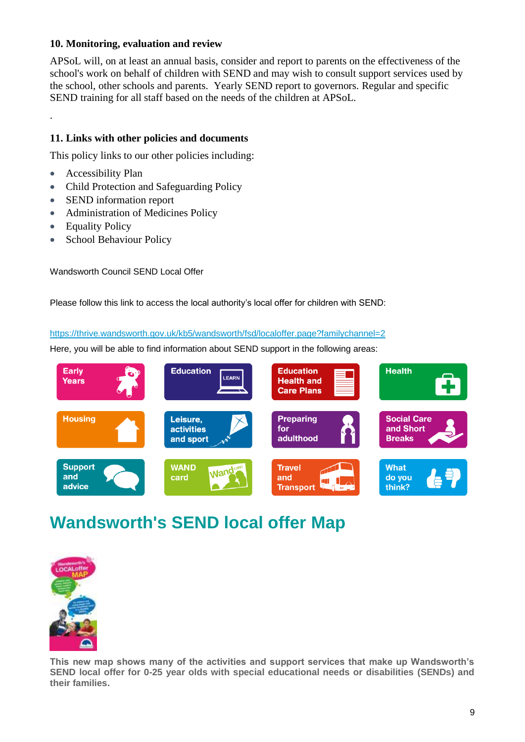### **10. Monitoring, evaluation and review**

APSoL will, on at least an annual basis, consider and report to parents on the effectiveness of the school's work on behalf of children with SEND and may wish to consult support services used by the school, other schools and parents. Yearly SEND report to governors. Regular and specific SEND training for all staff based on the needs of the children at APSoL.

### **11. Links with other policies and documents**

This policy links to our other policies including:

• Accessibility Plan

.

- Child Protection and Safeguarding Policy
- SEND information report
- Administration of Medicines Policy
- Equality Policy
- School Behaviour Policy

Wandsworth Council SEND Local Offer

Please follow this link to access the local authority's local offer for children with SEND:

<https://thrive.wandsworth.gov.uk/kb5/wandsworth/fsd/localoffer.page?familychannel=2>

Here, you will be able to find information about SEND support in the following areas:



# **Wandsworth's SEND local offer Map**



**This new map shows many of the activities and support services that make up Wandsworth's SEND local offer for 0-25 year olds with special educational needs or disabilities (SENDs) and their families.**